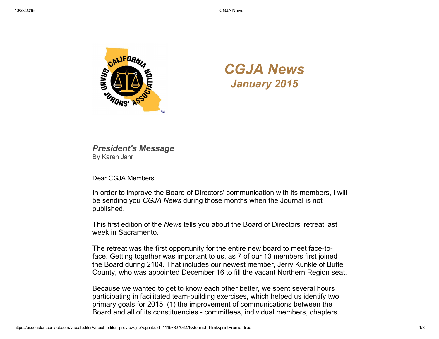

## *CGJA News January 2015*

## *President's Message* By Karen Jahr

Dear CGJA Members,

In order to improve the Board of Directors' communication with its members, I will be sending you *CGJA News* during those months when the Journal is not published.

This first edition of the *News* tells you about the Board of Directors' retreat last week in Sacramento.

The retreat was the first opportunity for the entire new board to meet face-toface. Getting together was important to us, as 7 of our 13 members first joined the Board during 2104. That includes our newest member, Jerry Kunkle of Butte County, who was appointed December 16 to fill the vacant Northern Region seat.

Because we wanted to get to know each other better, we spent several hours participating in facilitated team-building exercises, which helped us identify two primary goals for 2015: (1) the improvement of communications between the Board and all of its constituencies committees, individual members, chapters,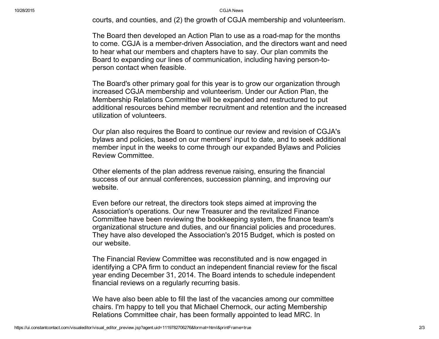10/28/2015 CGJA News

courts, and counties, and (2) the growth of CGJA membership and volunteerism.

The Board then developed an Action Plan to use as a road-map for the months to come. CGJA is a member-driven Association, and the directors want and need to hear what our members and chapters have to say. Our plan commits the Board to expanding our lines of communication, including having person-toperson contact when feasible.

The Board's other primary goal for this year is to grow our organization through increased CGJA membership and volunteerism. Under our Action Plan, the Membership Relations Committee will be expanded and restructured to put additional resources behind member recruitment and retention and the increased utilization of volunteers.

Our plan also requires the Board to continue our review and revision of CGJA's bylaws and policies, based on our members' input to date, and to seek additional member input in the weeks to come through our expanded Bylaws and Policies Review Committee.

Other elements of the plan address revenue raising, ensuring the financial success of our annual conferences, succession planning, and improving our website.

Even before our retreat, the directors took steps aimed at improving the Association's operations. Our new Treasurer and the revitalized Finance Committee have been reviewing the bookkeeping system, the finance team's organizational structure and duties, and our financial policies and procedures. They have also developed the Association's 2015 Budget, which is posted on our website.

The Financial Review Committee was reconstituted and is now engaged in identifying a CPA firm to conduct an independent financial review for the fiscal year ending December 31, 2014. The Board intends to schedule independent financial reviews on a regularly recurring basis.

We have also been able to fill the last of the vacancies among our committee chairs. I'm happy to tell you that Michael Chernock, our acting Membership Relations Committee chair, has been formally appointed to lead MRC. In